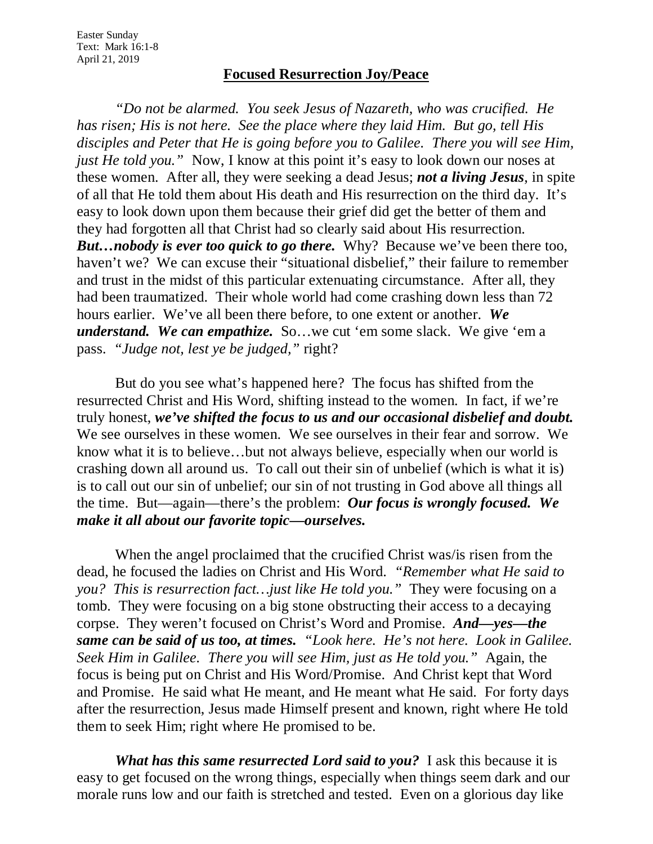## **Focused Resurrection Joy/Peace**

*"Do not be alarmed. You seek Jesus of Nazareth, who was crucified. He has risen; His is not here. See the place where they laid Him. But go, tell His disciples and Peter that He is going before you to Galilee. There you will see Him, just He told you.*" Now, I know at this point it's easy to look down our noses at these women. After all, they were seeking a dead Jesus; *not a living Jesus*, in spite of all that He told them about His death and His resurrection on the third day. It's easy to look down upon them because their grief did get the better of them and they had forgotten all that Christ had so clearly said about His resurrection. *But…nobody is ever too quick to go there.* Why? Because we've been there too, haven't we? We can excuse their "situational disbelief," their failure to remember and trust in the midst of this particular extenuating circumstance. After all, they had been traumatized. Their whole world had come crashing down less than 72 hours earlier. We've all been there before, to one extent or another. *We understand. We can empathize.* So…we cut 'em some slack. We give 'em a pass. *"Judge not, lest ye be judged,"* right?

But do you see what's happened here? The focus has shifted from the resurrected Christ and His Word, shifting instead to the women. In fact, if we're truly honest, *we've shifted the focus to us and our occasional disbelief and doubt.* We see ourselves in these women. We see ourselves in their fear and sorrow. We know what it is to believe…but not always believe, especially when our world is crashing down all around us. To call out their sin of unbelief (which is what it is) is to call out our sin of unbelief; our sin of not trusting in God above all things all the time. But—again—there's the problem: *Our focus is wrongly focused. We make it all about our favorite topic—ourselves.*

When the angel proclaimed that the crucified Christ was/is risen from the dead, he focused the ladies on Christ and His Word. *"Remember what He said to you? This is resurrection fact…just like He told you."* They were focusing on a tomb. They were focusing on a big stone obstructing their access to a decaying corpse. They weren't focused on Christ's Word and Promise. *And—yes—the same can be said of us too, at times. "Look here. He's not here. Look in Galilee. Seek Him in Galilee. There you will see Him, just as He told you."* Again, the focus is being put on Christ and His Word/Promise. And Christ kept that Word and Promise. He said what He meant, and He meant what He said. For forty days after the resurrection, Jesus made Himself present and known, right where He told them to seek Him; right where He promised to be.

*What has this same resurrected Lord said to you?* I ask this because it is easy to get focused on the wrong things, especially when things seem dark and our morale runs low and our faith is stretched and tested. Even on a glorious day like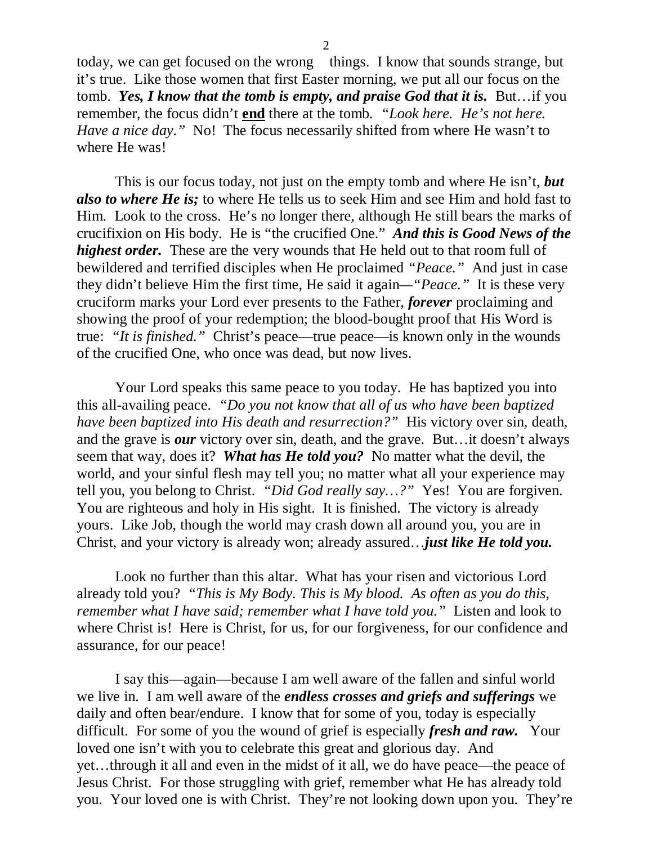today, we can get focused on the wrong things. I know that sounds strange, but it's true. Like those women that first Easter morning, we put all our focus on the tomb. *Yes, I know that the tomb is empty, and praise God that it is.* But…if you remember, the focus didn't **end** there at the tomb*. "Look here. He's not here. Have a nice day.*" No! The focus necessarily shifted from where He wasn't to where He was!

This is our focus today, not just on the empty tomb and where He isn't, *but also to where He is;* to where He tells us to seek Him and see Him and hold fast to Him. Look to the cross. He's no longer there, although He still bears the marks of crucifixion on His body. He is "the crucified One." *And this is Good News of the highest order.* These are the very wounds that He held out to that room full of bewildered and terrified disciples when He proclaimed *"Peace."* And just in case they didn't believe Him the first time, He said it again*—"Peace."* It is these very cruciform marks your Lord ever presents to the Father, *forever* proclaiming and showing the proof of your redemption; the blood-bought proof that His Word is true: *"It is finished."* Christ's peace—true peace—is known only in the wounds of the crucified One, who once was dead, but now lives.

Your Lord speaks this same peace to you today. He has baptized you into this all-availing peace. *"Do you not know that all of us who have been baptized have been baptized into His death and resurrection?"* His victory over sin, death, and the grave is *our* victory over sin, death, and the grave. But…it doesn't always seem that way, does it? *What has He told you?* No matter what the devil, the world, and your sinful flesh may tell you; no matter what all your experience may tell you, you belong to Christ. *"Did God really say…?"* Yes! You are forgiven. You are righteous and holy in His sight. It is finished. The victory is already yours. Like Job, though the world may crash down all around you, you are in Christ, and your victory is already won; already assured…*just like He told you.*

Look no further than this altar. What has your risen and victorious Lord already told you? *"This is My Body. This is My blood. As often as you do this, remember what I have said; remember what I have told you."* Listen and look to where Christ is! Here is Christ, for us, for our forgiveness, for our confidence and assurance, for our peace!

I say this—again—because I am well aware of the fallen and sinful world we live in. I am well aware of the *endless crosses and griefs and sufferings* we daily and often bear/endure. I know that for some of you, today is especially difficult. For some of you the wound of grief is especially *fresh and raw.* Your loved one isn't with you to celebrate this great and glorious day. And yet…through it all and even in the midst of it all, we do have peace—the peace of Jesus Christ. For those struggling with grief, remember what He has already told you. Your loved one is with Christ. They're not looking down upon you. They're